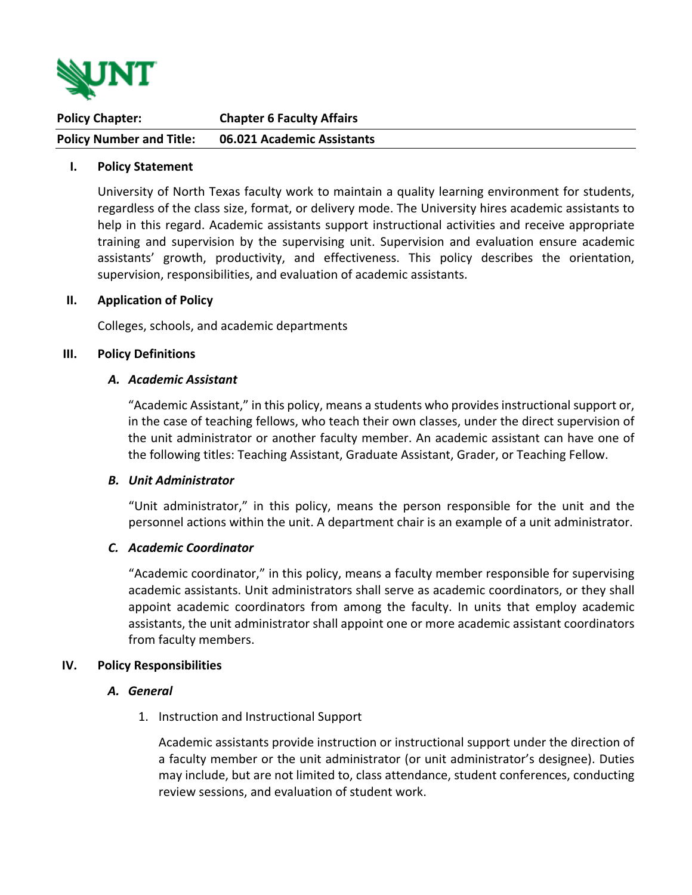

| <b>Policy Chapter:</b>          | <b>Chapter 6 Faculty Affairs</b> |
|---------------------------------|----------------------------------|
| <b>Policy Number and Title:</b> | 06.021 Academic Assistants       |

### **I. Policy Statement**

University of North Texas faculty work to maintain a quality learning environment for students, regardless of the class size, format, or delivery mode. The University hires academic assistants to help in this regard. Academic assistants support instructional activities and receive appropriate training and supervision by the supervising unit. Supervision and evaluation ensure academic assistants' growth, productivity, and effectiveness. This policy describes the orientation, supervision, responsibilities, and evaluation of academic assistants.

#### **II. Application of Policy**

Colleges, schools, and academic departments

#### **III. Policy Definitions**

#### *A. Academic Assistant*

"Academic Assistant," in this policy, means a students who provides instructional support or, in the case of teaching fellows, who teach their own classes, under the direct supervision of the unit administrator or another faculty member. An academic assistant can have one of the following titles: Teaching Assistant, Graduate Assistant, Grader, or Teaching Fellow.

#### *B. Unit Administrator*

"Unit administrator," in this policy, means the person responsible for the unit and the personnel actions within the unit. A department chair is an example of a unit administrator.

## *C. Academic Coordinator*

"Academic coordinator," in this policy, means a faculty member responsible for supervising academic assistants. Unit administrators shall serve as academic coordinators, or they shall appoint academic coordinators from among the faculty. In units that employ academic assistants, the unit administrator shall appoint one or more academic assistant coordinators from faculty members.

#### **IV. Policy Responsibilities**

#### *A. General*

1. Instruction and Instructional Support

Academic assistants provide instruction or instructional support under the direction of a faculty member or the unit administrator (or unit administrator's designee). Duties may include, but are not limited to, class attendance, student conferences, conducting review sessions, and evaluation of student work.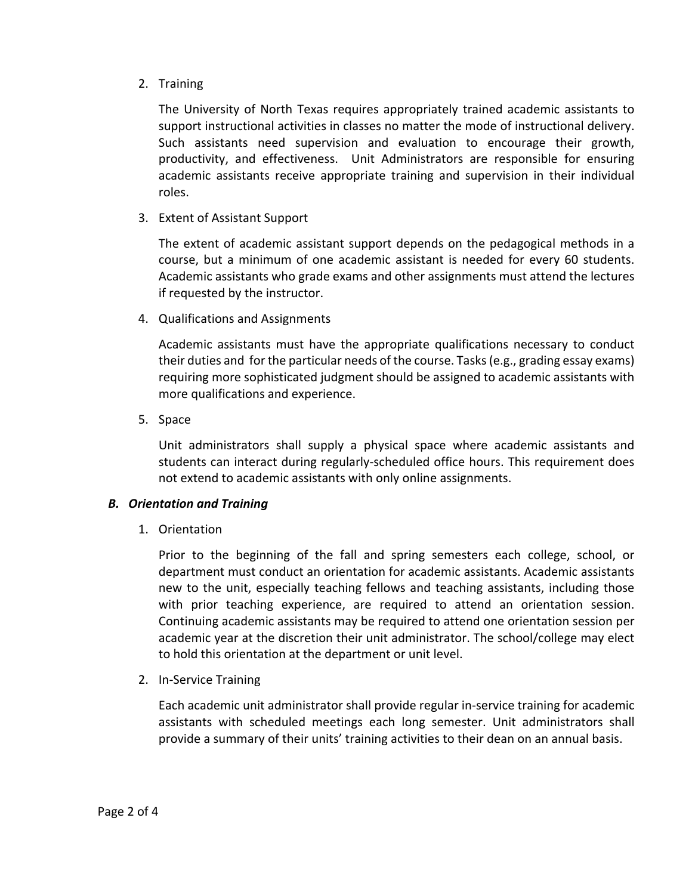2. Training

The University of North Texas requires appropriately trained academic assistants to support instructional activities in classes no matter the mode of instructional delivery. Such assistants need supervision and evaluation to encourage their growth, productivity, and effectiveness. Unit Administrators are responsible for ensuring academic assistants receive appropriate training and supervision in their individual roles.

3. Extent of Assistant Support

The extent of academic assistant support depends on the pedagogical methods in a course, but a minimum of one academic assistant is needed for every 60 students. Academic assistants who grade exams and other assignments must attend the lectures if requested by the instructor.

4. Qualifications and Assignments

Academic assistants must have the appropriate qualifications necessary to conduct their duties and for the particular needs of the course. Tasks (e.g., grading essay exams) requiring more sophisticated judgment should be assigned to academic assistants with more qualifications and experience.

5. Space

Unit administrators shall supply a physical space where academic assistants and students can interact during regularly‐scheduled office hours. This requirement does not extend to academic assistants with only online assignments.

## *B. Orientation and Training*

1. Orientation

Prior to the beginning of the fall and spring semesters each college, school, or department must conduct an orientation for academic assistants. Academic assistants new to the unit, especially teaching fellows and teaching assistants, including those with prior teaching experience, are required to attend an orientation session. Continuing academic assistants may be required to attend one orientation session per academic year at the discretion their unit administrator. The school/college may elect to hold this orientation at the department or unit level.

2. In-Service Training

Each academic unit administrator shall provide regular in‐service training for academic assistants with scheduled meetings each long semester. Unit administrators shall provide a summary of their units' training activities to their dean on an annual basis.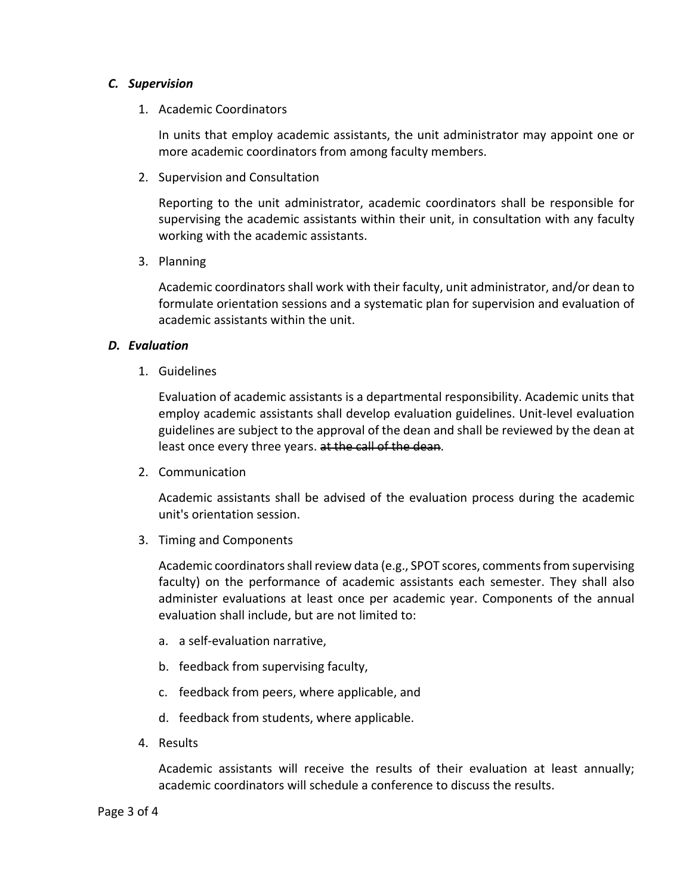# *C. Supervision*

1. Academic Coordinators

In units that employ academic assistants, the unit administrator may appoint one or more academic coordinators from among faculty members.

2. Supervision and Consultation

Reporting to the unit administrator, academic coordinators shall be responsible for supervising the academic assistants within their unit, in consultation with any faculty working with the academic assistants.

3. Planning

Academic coordinators shall work with their faculty, unit administrator, and/or dean to formulate orientation sessions and a systematic plan for supervision and evaluation of academic assistants within the unit.

# *D. Evaluation*

1. Guidelines

Evaluation of academic assistants is a departmental responsibility. Academic units that employ academic assistants shall develop evaluation guidelines. Unit-level evaluation guidelines are subject to the approval of the dean and shall be reviewed by the dean at least once every three years. at the call of the dean.

2. Communication

Academic assistants shall be advised of the evaluation process during the academic unit's orientation session.

3. Timing and Components

Academic coordinators shall review data (e.g., SPOT scores, comments from supervising faculty) on the performance of academic assistants each semester. They shall also administer evaluations at least once per academic year. Components of the annual evaluation shall include, but are not limited to:

- a. a self-evaluation narrative,
- b. feedback from supervising faculty,
- c. feedback from peers, where applicable, and
- d. feedback from students, where applicable.
- 4. Results

Academic assistants will receive the results of their evaluation at least annually; academic coordinators will schedule a conference to discuss the results.